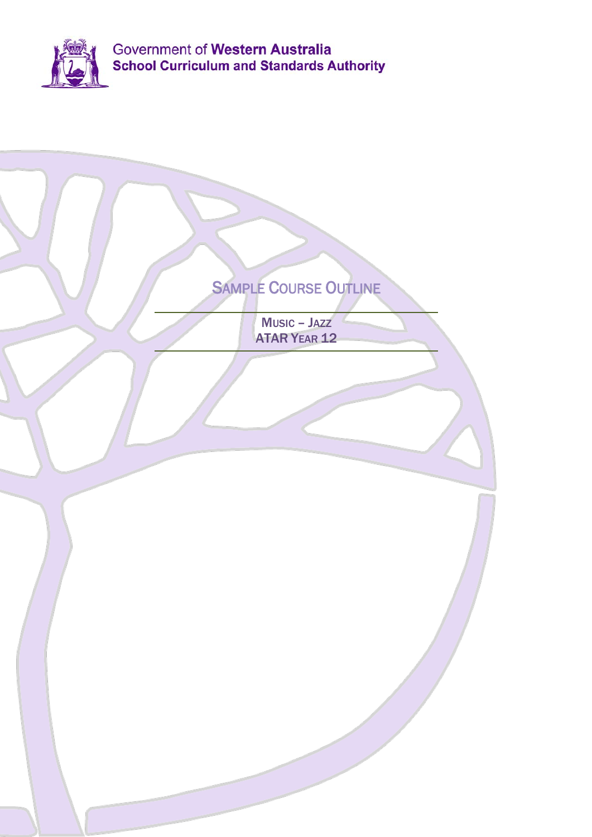

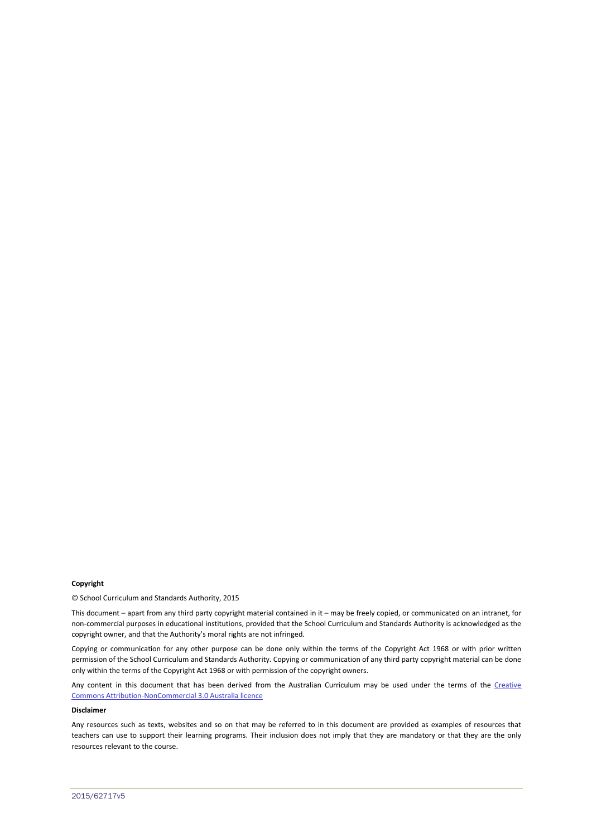#### **Copyright**

© School Curriculum and Standards Authority, 2015

This document – apart from any third party copyright material contained in it – may be freely copied, or communicated on an intranet, for non-commercial purposes in educational institutions, provided that the School Curriculum and Standards Authority is acknowledged as the copyright owner, and that the Authority's moral rights are not infringed.

Copying or communication for any other purpose can be done only within the terms of the Copyright Act 1968 or with prior written permission of the School Curriculum and Standards Authority. Copying or communication of any third party copyright material can be done only within the terms of the Copyright Act 1968 or with permission of the copyright owners.

Any content in this document that has been derived from the Australian Curriculum may be used under the terms of the Creative [Commons Attribution-NonCommercial 3.0 Australia licence](http://creativecommons.org/licenses/by-nc/3.0/au/)

### **Disclaimer**

Any resources such as texts, websites and so on that may be referred to in this document are provided as examples of resources that teachers can use to support their learning programs. Their inclusion does not imply that they are mandatory or that they are the only resources relevant to the course.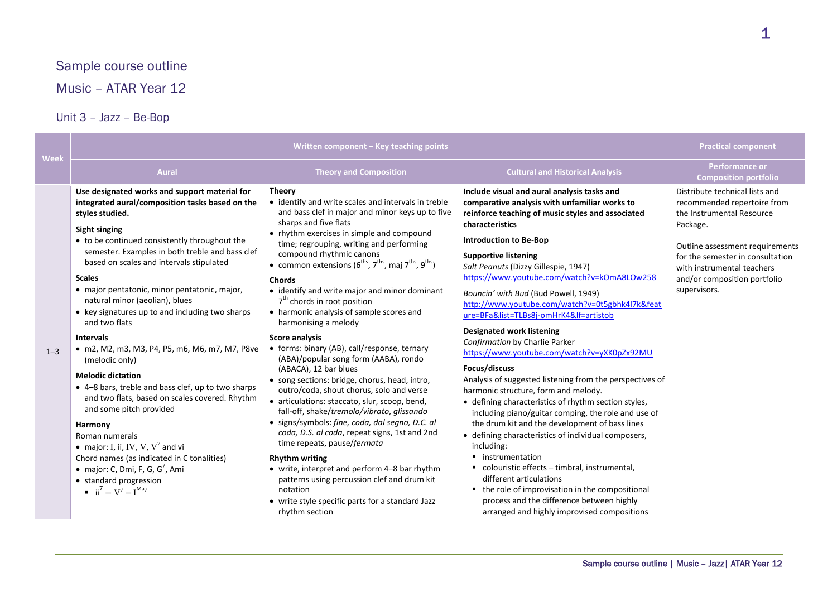# Sample course outline

Music – ATAR Year 12

## Unit 3 – Jazz – Be-Bop

| Week    | Written component - Key teaching points                                                                                                                                                                                                                                                                                                                                                                                                                                                                                                                                                                                                                                                                                                                                                                                                                                                                                                                          |                                                                                                                                                                                                                                                                                                                                                                                                                                                                                                                                                                                                                                                                                                                                                                                                                                                                                                                                                                                                                                                                                                                                                                                                                                      | <b>Practical component</b>                                                                                                                                                                                                                                                                                                                                                                                                                                                                                                                                                                                                                                                                                                                                                                                                                                                                                                                                                                                                                                                                                                                                                                         |                                                                                                                                                                                                                                                             |
|---------|------------------------------------------------------------------------------------------------------------------------------------------------------------------------------------------------------------------------------------------------------------------------------------------------------------------------------------------------------------------------------------------------------------------------------------------------------------------------------------------------------------------------------------------------------------------------------------------------------------------------------------------------------------------------------------------------------------------------------------------------------------------------------------------------------------------------------------------------------------------------------------------------------------------------------------------------------------------|--------------------------------------------------------------------------------------------------------------------------------------------------------------------------------------------------------------------------------------------------------------------------------------------------------------------------------------------------------------------------------------------------------------------------------------------------------------------------------------------------------------------------------------------------------------------------------------------------------------------------------------------------------------------------------------------------------------------------------------------------------------------------------------------------------------------------------------------------------------------------------------------------------------------------------------------------------------------------------------------------------------------------------------------------------------------------------------------------------------------------------------------------------------------------------------------------------------------------------------|----------------------------------------------------------------------------------------------------------------------------------------------------------------------------------------------------------------------------------------------------------------------------------------------------------------------------------------------------------------------------------------------------------------------------------------------------------------------------------------------------------------------------------------------------------------------------------------------------------------------------------------------------------------------------------------------------------------------------------------------------------------------------------------------------------------------------------------------------------------------------------------------------------------------------------------------------------------------------------------------------------------------------------------------------------------------------------------------------------------------------------------------------------------------------------------------------|-------------------------------------------------------------------------------------------------------------------------------------------------------------------------------------------------------------------------------------------------------------|
|         | <b>Aural</b>                                                                                                                                                                                                                                                                                                                                                                                                                                                                                                                                                                                                                                                                                                                                                                                                                                                                                                                                                     | <b>Theory and Composition</b>                                                                                                                                                                                                                                                                                                                                                                                                                                                                                                                                                                                                                                                                                                                                                                                                                                                                                                                                                                                                                                                                                                                                                                                                        | <b>Cultural and Historical Analysis</b>                                                                                                                                                                                                                                                                                                                                                                                                                                                                                                                                                                                                                                                                                                                                                                                                                                                                                                                                                                                                                                                                                                                                                            | <b>Performance or</b><br><b>Composition portfolio</b>                                                                                                                                                                                                       |
| $1 - 3$ | Use designated works and support material for<br>integrated aural/composition tasks based on the<br>styles studied.<br>Sight singing<br>• to be continued consistently throughout the<br>semester. Examples in both treble and bass clef<br>based on scales and intervals stipulated<br><b>Scales</b><br>· major pentatonic, minor pentatonic, major,<br>natural minor (aeolian), blues<br>• key signatures up to and including two sharps<br>and two flats<br><b>Intervals</b><br>• m2, M2, m3, M3, P4, P5, m6, M6, m7, M7, P8ve<br>(melodic only)<br><b>Melodic dictation</b><br>• 4-8 bars, treble and bass clef, up to two sharps<br>and two flats, based on scales covered. Rhythm<br>and some pitch provided<br>Harmony<br>Roman numerals<br>• major: I, ii, IV, V, $V^7$ and vi<br>Chord names (as indicated in C tonalities)<br>• major: C, Dmi, F, G, $G^7$ , Ami<br>• standard progression<br>$\mathbf{ii}^7 - \mathbf{V}^7 - \mathbf{I}^{\text{Ma7}}$ | Theory<br>• identify and write scales and intervals in treble<br>and bass clef in major and minor keys up to five<br>sharps and five flats<br>• rhythm exercises in simple and compound<br>time; regrouping, writing and performing<br>compound rhythmic canons<br>• common extensions ( $6^{\text{ths}}$ , $7^{\text{ths}}$ , maj $7^{\text{ths}}$ , $9^{\text{ths}}$ )<br><b>Chords</b><br>• identify and write major and minor dominant<br>$7th$ chords in root position<br>• harmonic analysis of sample scores and<br>harmonising a melody<br><b>Score analysis</b><br>• forms: binary (AB), call/response, ternary<br>(ABA)/popular song form (AABA), rondo<br>(ABACA), 12 bar blues<br>• song sections: bridge, chorus, head, intro,<br>outro/coda, shout chorus, solo and verse<br>· articulations: staccato, slur, scoop, bend,<br>fall-off, shake/tremolo/vibrato, glissando<br>· signs/symbols: fine, coda, dal segno, D.C. al<br>coda, D.S. al coda, repeat signs, 1st and 2nd<br>time repeats, pause/fermata<br><b>Rhythm writing</b><br>• write, interpret and perform 4-8 bar rhythm<br>patterns using percussion clef and drum kit<br>notation<br>• write style specific parts for a standard Jazz<br>rhythm section | Include visual and aural analysis tasks and<br>comparative analysis with unfamiliar works to<br>reinforce teaching of music styles and associated<br>characteristics<br><b>Introduction to Be-Bop</b><br><b>Supportive listening</b><br>Salt Peanuts (Dizzy Gillespie, 1947)<br>https://www.youtube.com/watch?v=kOmA8LOw258<br>Bouncin' with Bud (Bud Powell, 1949)<br>http://www.youtube.com/watch?v=0t5gbhk4l7k&feat<br>ure=BFa&list=TLBs8i-omHrK4&lf=artistob<br><b>Designated work listening</b><br>Confirmation by Charlie Parker<br>https://www.youtube.com/watch?v=yXK0pZx92MU<br>Focus/discuss<br>Analysis of suggested listening from the perspectives of<br>harmonic structure, form and melody.<br>• defining characteristics of rhythm section styles,<br>including piano/guitar comping, the role and use of<br>the drum kit and the development of bass lines<br>• defining characteristics of individual composers,<br>including:<br>■ instrumentation<br>■ colouristic effects - timbral, instrumental,<br>different articulations<br>• the role of improvisation in the compositional<br>process and the difference between highly<br>arranged and highly improvised compositions | Distribute technical lists and<br>recommended repertoire from<br>the Instrumental Resource<br>Package.<br>Outline assessment requirements<br>for the semester in consultation<br>with instrumental teachers<br>and/or composition portfolio<br>supervisors. |

1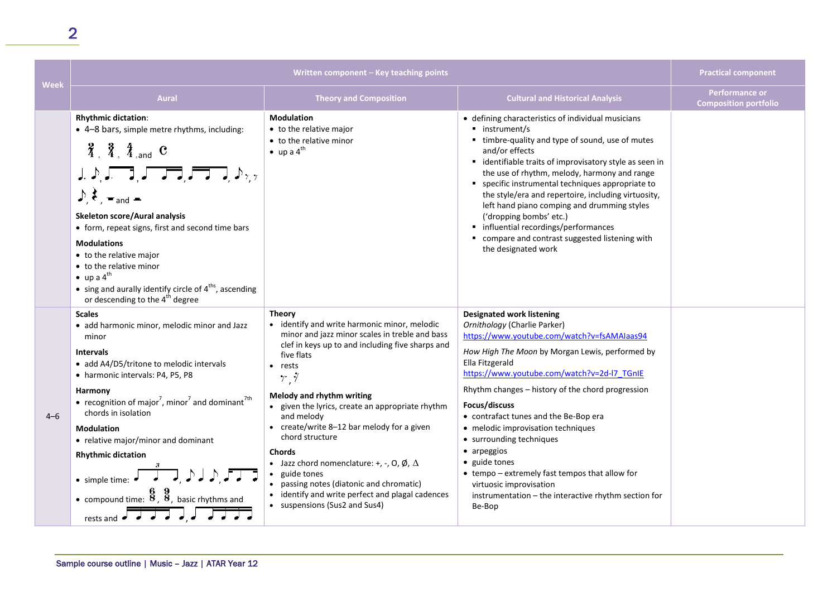| <b>Week</b> | Written component - Key teaching points                                                                                                                                                                                                                                                                                                                                                                                                                                                                                                                                                                              |                                                                                                                                                                                                                                                                                                                                                                                                                                                                                                                                                                                           |                                                                                                                                                                                                                                                                                                                                                                                                                                                                                                                                                                                                      | <b>Practical component</b>                            |
|-------------|----------------------------------------------------------------------------------------------------------------------------------------------------------------------------------------------------------------------------------------------------------------------------------------------------------------------------------------------------------------------------------------------------------------------------------------------------------------------------------------------------------------------------------------------------------------------------------------------------------------------|-------------------------------------------------------------------------------------------------------------------------------------------------------------------------------------------------------------------------------------------------------------------------------------------------------------------------------------------------------------------------------------------------------------------------------------------------------------------------------------------------------------------------------------------------------------------------------------------|------------------------------------------------------------------------------------------------------------------------------------------------------------------------------------------------------------------------------------------------------------------------------------------------------------------------------------------------------------------------------------------------------------------------------------------------------------------------------------------------------------------------------------------------------------------------------------------------------|-------------------------------------------------------|
|             | <b>Aural</b>                                                                                                                                                                                                                                                                                                                                                                                                                                                                                                                                                                                                         | <b>Theory and Composition</b>                                                                                                                                                                                                                                                                                                                                                                                                                                                                                                                                                             | <b>Cultural and Historical Analysis</b>                                                                                                                                                                                                                                                                                                                                                                                                                                                                                                                                                              | <b>Performance or</b><br><b>Composition portfolio</b> |
|             | <b>Rhythmic dictation:</b><br>• 4-8 bars, simple metre rhythms, including:<br>$\frac{2}{4}$ , $\frac{3}{4}$ , $\frac{4}{4}$ , and <b>C</b><br>$\Box \Rightarrow \Box \Rightarrow \Box \Rightarrow \Box \Rightarrow \Box \Rightarrow \Box \Rightarrow \Box$<br>$\rightarrow \epsilon$ = and =<br>Skeleton score/Aural analysis<br>• form, repeat signs, first and second time bars<br><b>Modulations</b><br>• to the relative major<br>• to the relative minor<br>$\bullet$ up a 4 <sup>th</sup><br>• sing and aurally identify circle of $4^{\text{ths}}$ , ascending<br>or descending to the 4 <sup>th</sup> degree | <b>Modulation</b><br>• to the relative major<br>• to the relative minor<br>$\bullet$ up a 4 <sup>th</sup>                                                                                                                                                                                                                                                                                                                                                                                                                                                                                 | • defining characteristics of individual musicians<br>• instrument/s<br>• timbre-quality and type of sound, use of mutes<br>and/or effects<br>• identifiable traits of improvisatory style as seen in<br>the use of rhythm, melody, harmony and range<br>" specific instrumental techniques appropriate to<br>the style/era and repertoire, including virtuosity,<br>left hand piano comping and drumming styles<br>('dropping bombs' etc.)<br>• influential recordings/performances<br>" compare and contrast suggested listening with<br>the designated work                                       |                                                       |
| $4 - 6$     | <b>Scales</b><br>· add harmonic minor, melodic minor and Jazz<br>minor<br><b>Intervals</b><br>• add A4/D5/tritone to melodic intervals<br>• harmonic intervals: P4, P5, P8<br>Harmony<br>• recognition of major <sup>7</sup> , minor <sup>7</sup> and dominant <sup>7th</sup><br>chords in isolation<br><b>Modulation</b><br>• relative major/minor and dominant<br><b>Rhythmic dictation</b><br>$\bullet$ simple time: $\bullet$<br>• compound time: $\frac{8}{8}$ , $\frac{8}{8}$ , basic rhythms and<br>rests and $\overrightarrow{e}$ $\overrightarrow{e}$ $\overrightarrow{d}$                                  | <b>Theory</b><br>• identify and write harmonic minor, melodic<br>minor and jazz minor scales in treble and bass<br>clef in keys up to and including five sharps and<br>five flats<br>• rests<br>r,7<br>Melody and rhythm writing<br>• given the lyrics, create an appropriate rhythm<br>and melody<br>• create/write 8-12 bar melody for a given<br>chord structure<br><b>Chords</b><br>• Jazz chord nomenclature: +, -, O, Ø, $\Delta$<br>• guide tones<br>• passing notes (diatonic and chromatic)<br>• identify and write perfect and plagal cadences<br>• suspensions (Sus2 and Sus4) | <b>Designated work listening</b><br>Ornithology (Charlie Parker)<br>https://www.youtube.com/watch?v=fsAMAlaas94<br>How High The Moon by Morgan Lewis, performed by<br>Ella Fitzgerald<br>https://www.youtube.com/watch?v=2d-l7_TGnIE<br>Rhythm changes - history of the chord progression<br>Focus/discuss<br>• contrafact tunes and the Be-Bop era<br>• melodic improvisation techniques<br>• surrounding techniques<br>• arpeggios<br>• guide tones<br>• tempo - extremely fast tempos that allow for<br>virtuosic improvisation<br>instrumentation - the interactive rhythm section for<br>Be-Bop |                                                       |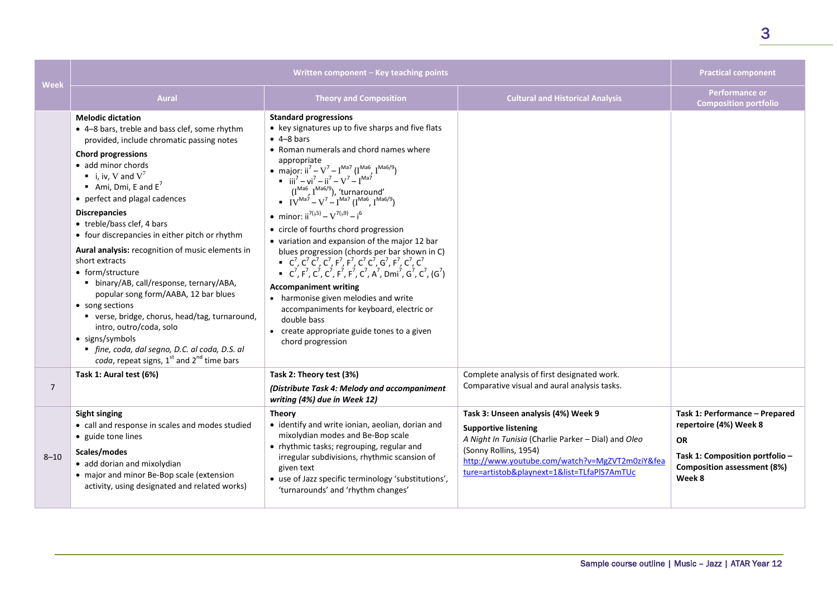| Week           |                                                                                                                                                                                                                                                                                                                                                                                                                                                                                                                                                                                                                                                                                                                                                                             | Written component - Key teaching points                                                                                                                                                                                                                                                                                                                                                                                                                                                                                                                                                                                                                                                                                                                                                                                                                                                                                                                                                                 |                                                                                                                                                                                                                                                     | <b>Practical component</b>                                                                                                                               |
|----------------|-----------------------------------------------------------------------------------------------------------------------------------------------------------------------------------------------------------------------------------------------------------------------------------------------------------------------------------------------------------------------------------------------------------------------------------------------------------------------------------------------------------------------------------------------------------------------------------------------------------------------------------------------------------------------------------------------------------------------------------------------------------------------------|---------------------------------------------------------------------------------------------------------------------------------------------------------------------------------------------------------------------------------------------------------------------------------------------------------------------------------------------------------------------------------------------------------------------------------------------------------------------------------------------------------------------------------------------------------------------------------------------------------------------------------------------------------------------------------------------------------------------------------------------------------------------------------------------------------------------------------------------------------------------------------------------------------------------------------------------------------------------------------------------------------|-----------------------------------------------------------------------------------------------------------------------------------------------------------------------------------------------------------------------------------------------------|----------------------------------------------------------------------------------------------------------------------------------------------------------|
|                | <b>Aural</b>                                                                                                                                                                                                                                                                                                                                                                                                                                                                                                                                                                                                                                                                                                                                                                | <b>Theory and Composition</b>                                                                                                                                                                                                                                                                                                                                                                                                                                                                                                                                                                                                                                                                                                                                                                                                                                                                                                                                                                           | <b>Cultural and Historical Analysis</b>                                                                                                                                                                                                             | Performance or<br><b>Composition portfolio</b>                                                                                                           |
|                | <b>Melodic dictation</b><br>• 4-8 bars, treble and bass clef, some rhythm<br>provided, include chromatic passing notes<br><b>Chord progressions</b><br>• add minor chords<br>i, iv, V and $V^7$<br>Ami, Dmi, E and $E^7$<br>• perfect and plagal cadences<br><b>Discrepancies</b><br>• treble/bass clef, 4 bars<br>• four discrepancies in either pitch or rhythm<br>Aural analysis: recognition of music elements in<br>short extracts<br>• form/structure<br>• binary/AB, call/response, ternary/ABA,<br>popular song form/AABA, 12 bar blues<br>• song sections<br>■ verse, bridge, chorus, head/tag, turnaround,<br>intro, outro/coda, solo<br>• signs/symbols<br>· fine, coda, dal segno, D.C. al coda, D.S. al<br>coda, repeat signs, $1^{st}$ and $2^{nd}$ time bars | <b>Standard progressions</b><br>• key signatures up to five sharps and five flats<br>$-4-8$ bars<br>• Roman numerals and chord names where<br>appropriate<br>• major: $ii^7 - V^7 - I^{Ma7} (I^{Ma6}, I^{Ma6/9})$<br>• $iii^7 - vi^7 - ii^7 - V^7 - I^{Ma7}$<br>$(I^{Ma6}, I^{Ma6/9}),$ 'turnaround'<br>IV <sup>Ma7</sup> - V <sup>7</sup> - I <sup>Ma7</sup> (I <sup>Ma6</sup> , I <sup>Ma6</sup> )<br>• minor: $ii^{7(b)} - V^{7(b)} - i^6$<br>• circle of fourths chord progression<br>• variation and expansion of the major 12 bar<br>blues progression (chords per bar shown in C)<br>$C^7$ , $C^7$ , $C^7$ , $C^7$ , $F^7$ , $F^7$ , $C^7$ , $C^7$ , $G^7$ , $F^7$ , $C^7$ , $C^7$<br>• $C^7$ , $F^7$ , $C^7$ , $C^7$ , $F^7$ , $F^7$ , $C^7$ , $A^7$ , $Dmi^7$ , $G^7$ , $C^7$ , $(G^7)$<br><b>Accompaniment writing</b><br>• harmonise given melodies and write<br>accompaniments for keyboard, electric or<br>double bass<br>• create appropriate guide tones to a given<br>chord progression |                                                                                                                                                                                                                                                     |                                                                                                                                                          |
|                | Task 1: Aural test (6%)                                                                                                                                                                                                                                                                                                                                                                                                                                                                                                                                                                                                                                                                                                                                                     | Task 2: Theory test (3%)                                                                                                                                                                                                                                                                                                                                                                                                                                                                                                                                                                                                                                                                                                                                                                                                                                                                                                                                                                                | Complete analysis of first designated work.                                                                                                                                                                                                         |                                                                                                                                                          |
| $\overline{7}$ |                                                                                                                                                                                                                                                                                                                                                                                                                                                                                                                                                                                                                                                                                                                                                                             | (Distribute Task 4: Melody and accompaniment<br>writing (4%) due in Week 12)                                                                                                                                                                                                                                                                                                                                                                                                                                                                                                                                                                                                                                                                                                                                                                                                                                                                                                                            | Comparative visual and aural analysis tasks.                                                                                                                                                                                                        |                                                                                                                                                          |
| $8 - 10$       | <b>Sight singing</b><br>• call and response in scales and modes studied<br>• guide tone lines<br>Scales/modes<br>• add dorian and mixolydian<br>• major and minor Be-Bop scale (extension<br>activity, using designated and related works)                                                                                                                                                                                                                                                                                                                                                                                                                                                                                                                                  | <b>Theory</b><br>• identify and write ionian, aeolian, dorian and<br>mixolydian modes and Be-Bop scale<br>• rhythmic tasks; regrouping, regular and<br>irregular subdivisions, rhythmic scansion of<br>given text<br>• use of Jazz specific terminology 'substitutions',<br>'turnarounds' and 'rhythm changes'                                                                                                                                                                                                                                                                                                                                                                                                                                                                                                                                                                                                                                                                                          | Task 3: Unseen analysis (4%) Week 9<br><b>Supportive listening</b><br>A Night In Tunisia (Charlie Parker - Dial) and Oleo<br>(Sonny Rollins, 1954)<br>http://www.youtube.com/watch?v=MgZVT2m0ziY&fea<br>ture=artistob&playnext=1&list=TLfaPlS7AmTUc | Task 1: Performance - Prepared<br>repertoire (4%) Week 8<br><b>OR</b><br>Task 1: Composition portfolio -<br><b>Composition assessment (8%)</b><br>Week 8 |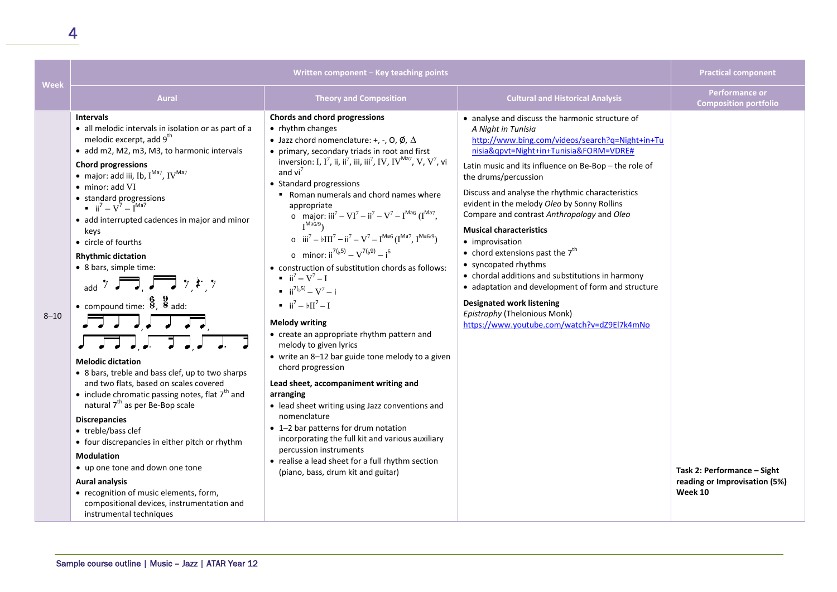| Week     | Written component - Key teaching points                                                                                                                                                                                                                                                                                                                                                                                                                                                                                                                                                                                                                                                                                                                                                                                                                                                                                                                                                                                                                                                                                                                                                                                    |                                                                                                                                                                                                                                                                                                                                                                                                                                                                                                                                                                                                                                                                                                                                                                                                                                                                                                                                                                                                                                                                                                                                                                                                                                                                                                                                                                                                                                                                                                               |                                                                                                                                                                                                                                                                                                                                                                                                                                                                                                                                                                                                                                                                                                                                                     | <b>Practical component</b>                                              |
|----------|----------------------------------------------------------------------------------------------------------------------------------------------------------------------------------------------------------------------------------------------------------------------------------------------------------------------------------------------------------------------------------------------------------------------------------------------------------------------------------------------------------------------------------------------------------------------------------------------------------------------------------------------------------------------------------------------------------------------------------------------------------------------------------------------------------------------------------------------------------------------------------------------------------------------------------------------------------------------------------------------------------------------------------------------------------------------------------------------------------------------------------------------------------------------------------------------------------------------------|---------------------------------------------------------------------------------------------------------------------------------------------------------------------------------------------------------------------------------------------------------------------------------------------------------------------------------------------------------------------------------------------------------------------------------------------------------------------------------------------------------------------------------------------------------------------------------------------------------------------------------------------------------------------------------------------------------------------------------------------------------------------------------------------------------------------------------------------------------------------------------------------------------------------------------------------------------------------------------------------------------------------------------------------------------------------------------------------------------------------------------------------------------------------------------------------------------------------------------------------------------------------------------------------------------------------------------------------------------------------------------------------------------------------------------------------------------------------------------------------------------------|-----------------------------------------------------------------------------------------------------------------------------------------------------------------------------------------------------------------------------------------------------------------------------------------------------------------------------------------------------------------------------------------------------------------------------------------------------------------------------------------------------------------------------------------------------------------------------------------------------------------------------------------------------------------------------------------------------------------------------------------------------|-------------------------------------------------------------------------|
|          | <b>Aural</b>                                                                                                                                                                                                                                                                                                                                                                                                                                                                                                                                                                                                                                                                                                                                                                                                                                                                                                                                                                                                                                                                                                                                                                                                               | <b>Theory and Composition</b>                                                                                                                                                                                                                                                                                                                                                                                                                                                                                                                                                                                                                                                                                                                                                                                                                                                                                                                                                                                                                                                                                                                                                                                                                                                                                                                                                                                                                                                                                 | <b>Cultural and Historical Analysis</b>                                                                                                                                                                                                                                                                                                                                                                                                                                                                                                                                                                                                                                                                                                             | <b>Performance or</b><br><b>Composition portfolio</b>                   |
| $8 - 10$ | <b>Intervals</b><br>• all melodic intervals in isolation or as part of a<br>melodic excerpt, add 9 <sup>th</sup><br>• add m2, M2, m3, M3, to harmonic intervals<br><b>Chord progressions</b><br>$\bullet$ major: add iii, Ib, $I^{Ma7}$ , IV $^{Ma7}$<br>• minor: add VI<br>• standard progressions<br>$\mathbf{I} = i \mathbf{i}^7 - \mathbf{V}^7 - \mathbf{I}^{Ma7}$<br>• add interrupted cadences in major and minor<br>keys<br>• circle of fourths<br><b>Rhythmic dictation</b><br>• 8 bars, simple time:<br>add $\overline{7}$ $\overline{7}$ , $\overline{7}$ $\overline{7}$ $\overline{7}$ , $\overline{7}$<br>• compound time: $\frac{6}{8}$ , $\frac{9}{8}$ add:<br>▔▖▗▏▖▕▏▗▏▖▎<br><b>Melodic dictation</b><br>• 8 bars, treble and bass clef, up to two sharps<br>and two flats, based on scales covered<br>• include chromatic passing notes, flat $7th$ and<br>natural 7 <sup>th</sup> as per Be-Bop scale<br><b>Discrepancies</b><br>• treble/bass clef<br>• four discrepancies in either pitch or rhythm<br><b>Modulation</b><br>• up one tone and down one tone<br><b>Aural analysis</b><br>• recognition of music elements, form,<br>compositional devices, instrumentation and<br>instrumental techniques | Chords and chord progressions<br>• rhythm changes<br>• Jazz chord nomenclature: +, -, O, Ø, $\Delta$<br>• primary, secondary triads in root and first<br>inversion: I, $I^7$ , ii, ii <sup>7</sup> , iii, iii <sup>7</sup> , IV, IV <sup>Ma7</sup> , V, V <sup>7</sup> , vi<br>and $vi^7$<br>• Standard progressions<br>Roman numerals and chord names where<br>appropriate<br>o major: $iii^7 - VI^7 - ii^7 - V^7 - I^{Ma6} (I^{Ma7},$<br>$I^{Ma6/9}$<br>o $\mathbf{iii}^7 - \mathbf{b} \mathbf{III}^7 - \mathbf{ii}^7 - \mathbf{V}^7 - \mathbf{I}^{\text{Ma6}} (\mathbf{I}^{\text{Ma7}}, \mathbf{I}^{\text{Ma6/9}})$<br>o minor: $ii^{7(b,5)} - V^{7(b,9)} - i^6$<br>• construction of substitution chords as follows:<br>$\blacksquare$ $\blacksquare$ $\blacksquare$ $\blacksquare$ $\blacksquare$<br>$\blacksquare$ ii <sup>7(<math>b</math>5)</sup> – V <sup>7</sup> – i<br>$\blacksquare$ $\blacksquare$ $\blacksquare$ $\blacksquare$ $\blacksquare$ $\blacksquare$ $\blacksquare$<br><b>Melody writing</b><br>• create an appropriate rhythm pattern and<br>melody to given lyrics<br>• write an 8-12 bar guide tone melody to a given<br>chord progression<br>Lead sheet, accompaniment writing and<br>arranging<br>• lead sheet writing using Jazz conventions and<br>nomenclature<br>• 1-2 bar patterns for drum notation<br>incorporating the full kit and various auxiliary<br>percussion instruments<br>• realise a lead sheet for a full rhythm section<br>(piano, bass, drum kit and guitar) | • analyse and discuss the harmonic structure of<br>A Night in Tunisia<br>http://www.bing.com/videos/search?q=Night+in+Tu<br>nisia&qpvt=Night+in+Tunisia&FORM=VDRE#<br>Latin music and its influence on Be-Bop - the role of<br>the drums/percussion<br>Discuss and analyse the rhythmic characteristics<br>evident in the melody Oleo by Sonny Rollins<br>Compare and contrast Anthropology and Oleo<br><b>Musical characteristics</b><br>• improvisation<br>• chord extensions past the $7th$<br>• syncopated rhythms<br>• chordal additions and substitutions in harmony<br>• adaptation and development of form and structure<br><b>Designated work listening</b><br>Epistrophy (Thelonious Monk)<br>https://www.youtube.com/watch?v=dZ9El7k4mNo | Task 2: Performance - Sight<br>reading or Improvisation (5%)<br>Week 10 |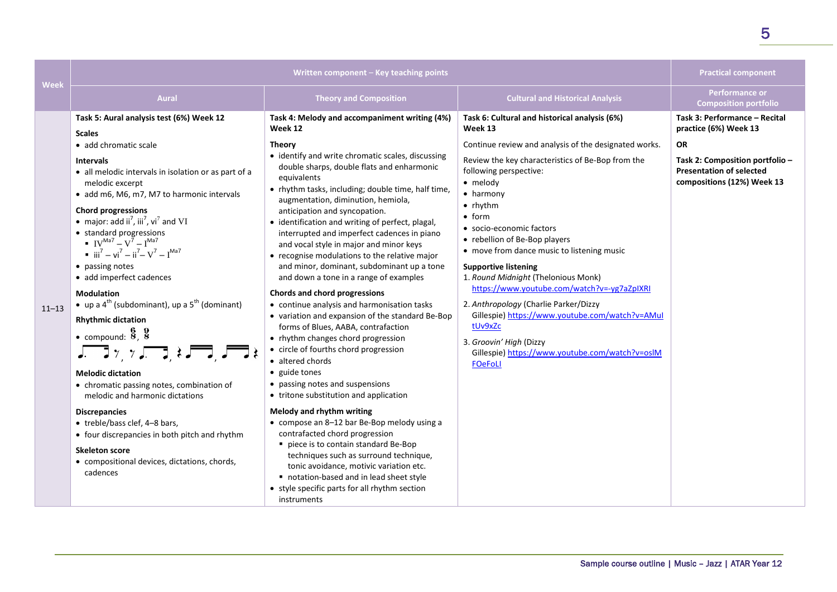| Week      |                                                                                                                                                                                                                                                                                                                                                                                                                                                                                                                                                                                                                                                                                                                                                                                                                                                                                                                                                                                                                                                                                            | Written component - Key teaching points                                                                                                                                                                                                                                                                                                                                                                                                                                                                                                                                                                                                                                                                                                                                                                                                                                                                                                                                                                                                                                                                                                                                                                                                                                                                                                         |                                                                                                                                                                                                                                                                                                                                                                                                                                                                                                                                                                                                                                                                                                                        | <b>Practical component</b>                                                                                                                                              |
|-----------|--------------------------------------------------------------------------------------------------------------------------------------------------------------------------------------------------------------------------------------------------------------------------------------------------------------------------------------------------------------------------------------------------------------------------------------------------------------------------------------------------------------------------------------------------------------------------------------------------------------------------------------------------------------------------------------------------------------------------------------------------------------------------------------------------------------------------------------------------------------------------------------------------------------------------------------------------------------------------------------------------------------------------------------------------------------------------------------------|-------------------------------------------------------------------------------------------------------------------------------------------------------------------------------------------------------------------------------------------------------------------------------------------------------------------------------------------------------------------------------------------------------------------------------------------------------------------------------------------------------------------------------------------------------------------------------------------------------------------------------------------------------------------------------------------------------------------------------------------------------------------------------------------------------------------------------------------------------------------------------------------------------------------------------------------------------------------------------------------------------------------------------------------------------------------------------------------------------------------------------------------------------------------------------------------------------------------------------------------------------------------------------------------------------------------------------------------------|------------------------------------------------------------------------------------------------------------------------------------------------------------------------------------------------------------------------------------------------------------------------------------------------------------------------------------------------------------------------------------------------------------------------------------------------------------------------------------------------------------------------------------------------------------------------------------------------------------------------------------------------------------------------------------------------------------------------|-------------------------------------------------------------------------------------------------------------------------------------------------------------------------|
|           | <b>Aural</b>                                                                                                                                                                                                                                                                                                                                                                                                                                                                                                                                                                                                                                                                                                                                                                                                                                                                                                                                                                                                                                                                               | <b>Theory and Composition</b>                                                                                                                                                                                                                                                                                                                                                                                                                                                                                                                                                                                                                                                                                                                                                                                                                                                                                                                                                                                                                                                                                                                                                                                                                                                                                                                   | <b>Cultural and Historical Analysis</b>                                                                                                                                                                                                                                                                                                                                                                                                                                                                                                                                                                                                                                                                                | <b>Performance or</b><br><b>Composition portfolio</b>                                                                                                                   |
| $11 - 13$ | Task 5: Aural analysis test (6%) Week 12<br><b>Scales</b><br>• add chromatic scale<br><b>Intervals</b><br>• all melodic intervals in isolation or as part of a<br>melodic excerpt<br>• add m6, M6, m7, M7 to harmonic intervals<br><b>Chord progressions</b><br>• major: add ii <sup>7</sup> , iii <sup>7</sup> , vi <sup>7</sup> and VI<br>• standard progressions<br>$IV^{Ma7} - V^7 - I^{Ma7}$<br>$\bullet$ iii <sup>7</sup> – vi <sup>7</sup> – ii <sup>7</sup> – V <sup>7</sup> – I <sup>Ma7</sup><br>• passing notes<br>· add imperfect cadences<br><b>Modulation</b><br>• up a $4^{\text{th}}$ (subdominant), up a $5^{\text{th}}$ (dominant)<br><b>Rhythmic dictation</b><br>• compound: $\frac{6}{8}$ , $\frac{9}{8}$<br>$J = J \gamma \gamma J = J \star J = J \star$<br><b>Melodic dictation</b><br>• chromatic passing notes, combination of<br>melodic and harmonic dictations<br><b>Discrepancies</b><br>• treble/bass clef, 4-8 bars,<br>• four discrepancies in both pitch and rhythm<br><b>Skeleton score</b><br>• compositional devices, dictations, chords,<br>cadences | Task 4: Melody and accompaniment writing (4%)<br>Week 12<br><b>Theory</b><br>• identify and write chromatic scales, discussing<br>double sharps, double flats and enharmonic<br>equivalents<br>• rhythm tasks, including; double time, half time,<br>augmentation, diminution, hemiola,<br>anticipation and syncopation.<br>• identification and writing of perfect, plagal,<br>interrupted and imperfect cadences in piano<br>and vocal style in major and minor keys<br>• recognise modulations to the relative major<br>and minor, dominant, subdominant up a tone<br>and down a tone in a range of examples<br>Chords and chord progressions<br>• continue analysis and harmonisation tasks<br>• variation and expansion of the standard Be-Bop<br>forms of Blues, AABA, contrafaction<br>• rhythm changes chord progression<br>• circle of fourths chord progression<br>• altered chords<br>• guide tones<br>• passing notes and suspensions<br>• tritone substitution and application<br>Melody and rhythm writing<br>• compose an 8-12 bar Be-Bop melody using a<br>contrafacted chord progression<br>piece is to contain standard Be-Bop<br>techniques such as surround technique,<br>tonic avoidance, motivic variation etc.<br>notation-based and in lead sheet style<br>• style specific parts for all rhythm section<br>instruments | Task 6: Cultural and historical analysis (6%)<br>Week 13<br>Continue review and analysis of the designated works.<br>Review the key characteristics of Be-Bop from the<br>following perspective:<br>$\bullet$ melody<br>$\bullet$ harmony<br>$\bullet$ rhythm<br>$\bullet$ form<br>• socio-economic factors<br>• rebellion of Be-Bop players<br>• move from dance music to listening music<br><b>Supportive listening</b><br>1. Round Midnight (Thelonious Monk)<br>https://www.youtube.com/watch?v=-yg7aZpIXRI<br>2. Anthropology (Charlie Parker/Dizzy<br>Gillespie) https://www.youtube.com/watch?v=AMul<br>tUv9xZc<br>3. Groovin' High (Dizzy<br>Gillespie) https://www.youtube.com/watch?v=oslM<br><b>FOeFoLI</b> | Task 3: Performance - Recital<br>practice (6%) Week 13<br><b>OR</b><br>Task 2: Composition portfolio -<br><b>Presentation of selected</b><br>compositions (12%) Week 13 |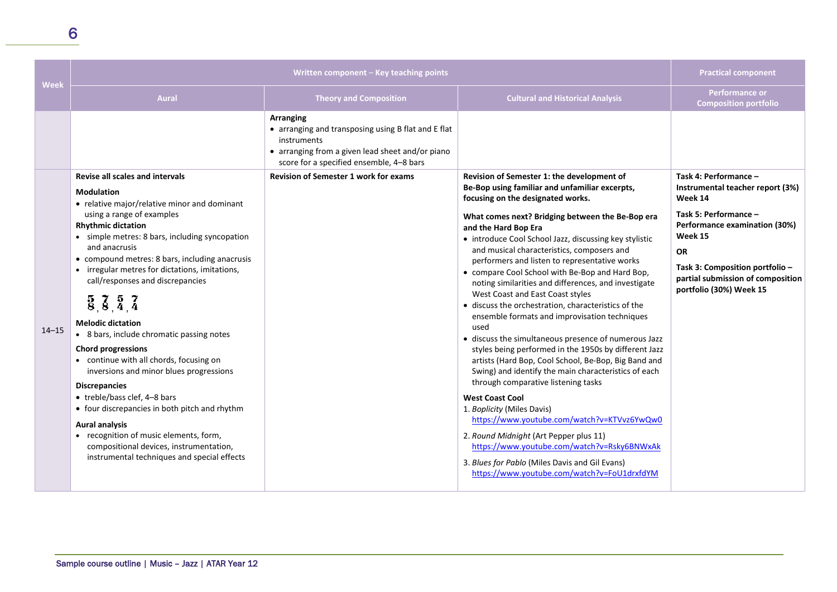| <b>Week</b> | Written component - Key teaching points                                                                                                                                                                                                                                                                                                                                                                                                                                                                                                                                                                                                                                                                                                                                |                                                                                                                                                                                                                                 |                                                                                                                                                                                                                                                                                                                                                                                                                                                                                                                                                                                                                                                                                                                                                                                                                                                                                                                                                                                                                      | <b>Practical component</b>                                                                                                                                                                                                                                |
|-------------|------------------------------------------------------------------------------------------------------------------------------------------------------------------------------------------------------------------------------------------------------------------------------------------------------------------------------------------------------------------------------------------------------------------------------------------------------------------------------------------------------------------------------------------------------------------------------------------------------------------------------------------------------------------------------------------------------------------------------------------------------------------------|---------------------------------------------------------------------------------------------------------------------------------------------------------------------------------------------------------------------------------|----------------------------------------------------------------------------------------------------------------------------------------------------------------------------------------------------------------------------------------------------------------------------------------------------------------------------------------------------------------------------------------------------------------------------------------------------------------------------------------------------------------------------------------------------------------------------------------------------------------------------------------------------------------------------------------------------------------------------------------------------------------------------------------------------------------------------------------------------------------------------------------------------------------------------------------------------------------------------------------------------------------------|-----------------------------------------------------------------------------------------------------------------------------------------------------------------------------------------------------------------------------------------------------------|
|             | <b>Aural</b>                                                                                                                                                                                                                                                                                                                                                                                                                                                                                                                                                                                                                                                                                                                                                           | <b>Theory and Composition</b>                                                                                                                                                                                                   | <b>Cultural and Historical Analysis</b>                                                                                                                                                                                                                                                                                                                                                                                                                                                                                                                                                                                                                                                                                                                                                                                                                                                                                                                                                                              | <b>Performance or</b><br><b>Composition portfolio</b>                                                                                                                                                                                                     |
| $14 - 15$   | <b>Revise all scales and intervals</b><br><b>Modulation</b><br>• relative major/relative minor and dominant<br>using a range of examples<br><b>Rhythmic dictation</b><br>• simple metres: 8 bars, including syncopation<br>and anacrusis<br>• compound metres: 8 bars, including anacrusis<br>• irregular metres for dictations, imitations,<br>call/responses and discrepancies<br>$\frac{5}{8}, \frac{7}{8}, \frac{5}{4}, \frac{7}{4}$<br><b>Melodic dictation</b><br>• 8 bars, include chromatic passing notes<br><b>Chord progressions</b><br>• continue with all chords, focusing on<br>inversions and minor blues progressions<br><b>Discrepancies</b><br>• treble/bass clef, 4-8 bars<br>• four discrepancies in both pitch and rhythm<br><b>Aural analysis</b> | Arranging<br>• arranging and transposing using B flat and E flat<br>instruments<br>• arranging from a given lead sheet and/or piano<br>score for a specified ensemble, 4-8 bars<br><b>Revision of Semester 1 work for exams</b> | Revision of Semester 1: the development of<br>Be-Bop using familiar and unfamiliar excerpts,<br>focusing on the designated works.<br>What comes next? Bridging between the Be-Bop era<br>and the Hard Bop Era<br>• introduce Cool School Jazz, discussing key stylistic<br>and musical characteristics, composers and<br>performers and listen to representative works<br>• compare Cool School with Be-Bop and Hard Bop,<br>noting similarities and differences, and investigate<br>West Coast and East Coast styles<br>• discuss the orchestration, characteristics of the<br>ensemble formats and improvisation techniques<br>used<br>· discuss the simultaneous presence of numerous Jazz<br>styles being performed in the 1950s by different Jazz<br>artists (Hard Bop, Cool School, Be-Bop, Big Band and<br>Swing) and identify the main characteristics of each<br>through comparative listening tasks<br><b>West Coast Cool</b><br>1. Boplicity (Miles Davis)<br>https://www.youtube.com/watch?v=KTVvz6YwQw0 | Task 4: Performance -<br>Instrumental teacher report (3%)<br>Week 14<br>Task 5: Performance -<br>Performance examination (30%)<br>Week 15<br><b>OR</b><br>Task 3: Composition portfolio -<br>partial submission of composition<br>portfolio (30%) Week 15 |
|             | • recognition of music elements, form,<br>compositional devices, instrumentation,<br>instrumental techniques and special effects                                                                                                                                                                                                                                                                                                                                                                                                                                                                                                                                                                                                                                       |                                                                                                                                                                                                                                 | 2. Round Midnight (Art Pepper plus 11)<br>https://www.youtube.com/watch?v=Rsky6BNWxAk<br>3. Blues for Pablo (Miles Davis and Gil Evans)<br>https://www.youtube.com/watch?v=FoU1drxfdYM                                                                                                                                                                                                                                                                                                                                                                                                                                                                                                                                                                                                                                                                                                                                                                                                                               |                                                                                                                                                                                                                                                           |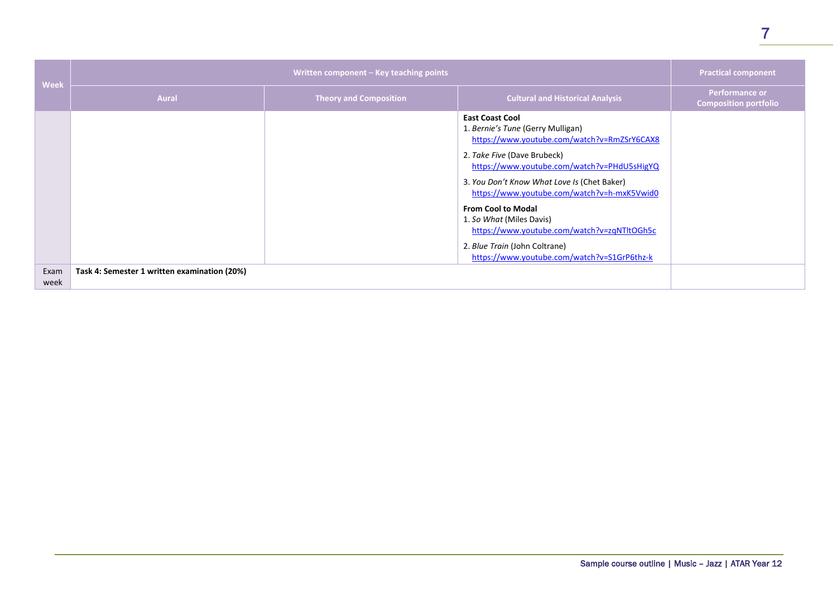| <b>Week</b>  | Written component - Key teaching points      |                               |                                                                                                                                                                                                                                                                                                                                                                                                                                                                                | <b>Practical component</b>                            |
|--------------|----------------------------------------------|-------------------------------|--------------------------------------------------------------------------------------------------------------------------------------------------------------------------------------------------------------------------------------------------------------------------------------------------------------------------------------------------------------------------------------------------------------------------------------------------------------------------------|-------------------------------------------------------|
|              | <b>Aural</b>                                 | <b>Theory and Composition</b> | <b>Cultural and Historical Analysis</b>                                                                                                                                                                                                                                                                                                                                                                                                                                        | <b>Performance or</b><br><b>Composition portfolio</b> |
|              |                                              |                               | <b>East Coast Cool</b><br>1. Bernie's Tune (Gerry Mulligan)<br>https://www.youtube.com/watch?v=RmZSrY6CAX8<br>2. Take Five (Dave Brubeck)<br>https://www.youtube.com/watch?v=PHdU5sHigYQ<br>3. You Don't Know What Love Is (Chet Baker)<br>https://www.youtube.com/watch?v=h-mxK5Vwid0<br><b>From Cool to Modal</b><br>1. So What (Miles Davis)<br>https://www.youtube.com/watch?v=zqNTltOGh5c<br>2. Blue Train (John Coltrane)<br>https://www.youtube.com/watch?v=S1GrP6thz-k |                                                       |
| Exam<br>week | Task 4: Semester 1 written examination (20%) |                               |                                                                                                                                                                                                                                                                                                                                                                                                                                                                                |                                                       |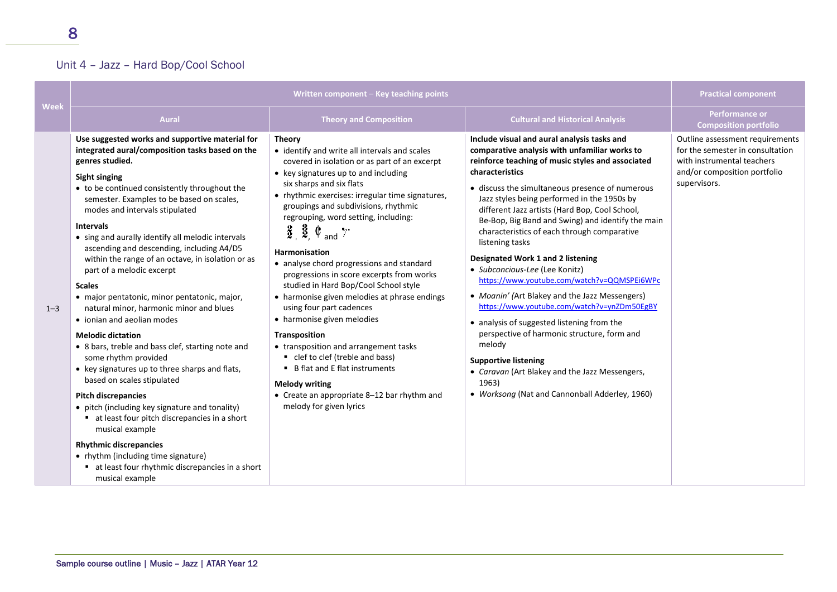### Unit 4 – Jazz – Hard Bop/Cool School

| Week    |                                                                                                                                                                                                                                                                                                                                                                                                                                                                                                                                                                                                                                                                                                                                                                                                                                                                                                                                                                                                                                                                                                                             | Written component - Key teaching points                                                                                                                                                                                                                                                                                                                                                                                                                                                                                                                                                                                                                                                                                                                                                                                                                                                  |                                                                                                                                                                                                                                                                                                                                                                                                                                                                                                                                                                                                                                                                                                                                                                                                                                                                                                                           | <b>Practical component</b>                                                                                                                        |
|---------|-----------------------------------------------------------------------------------------------------------------------------------------------------------------------------------------------------------------------------------------------------------------------------------------------------------------------------------------------------------------------------------------------------------------------------------------------------------------------------------------------------------------------------------------------------------------------------------------------------------------------------------------------------------------------------------------------------------------------------------------------------------------------------------------------------------------------------------------------------------------------------------------------------------------------------------------------------------------------------------------------------------------------------------------------------------------------------------------------------------------------------|------------------------------------------------------------------------------------------------------------------------------------------------------------------------------------------------------------------------------------------------------------------------------------------------------------------------------------------------------------------------------------------------------------------------------------------------------------------------------------------------------------------------------------------------------------------------------------------------------------------------------------------------------------------------------------------------------------------------------------------------------------------------------------------------------------------------------------------------------------------------------------------|---------------------------------------------------------------------------------------------------------------------------------------------------------------------------------------------------------------------------------------------------------------------------------------------------------------------------------------------------------------------------------------------------------------------------------------------------------------------------------------------------------------------------------------------------------------------------------------------------------------------------------------------------------------------------------------------------------------------------------------------------------------------------------------------------------------------------------------------------------------------------------------------------------------------------|---------------------------------------------------------------------------------------------------------------------------------------------------|
|         | <b>Aural</b>                                                                                                                                                                                                                                                                                                                                                                                                                                                                                                                                                                                                                                                                                                                                                                                                                                                                                                                                                                                                                                                                                                                | <b>Theory and Composition</b>                                                                                                                                                                                                                                                                                                                                                                                                                                                                                                                                                                                                                                                                                                                                                                                                                                                            | <b>Cultural and Historical Analysis</b>                                                                                                                                                                                                                                                                                                                                                                                                                                                                                                                                                                                                                                                                                                                                                                                                                                                                                   | <b>Performance or</b><br><b>Composition portfolio</b>                                                                                             |
| $1 - 3$ | Use suggested works and supportive material for<br>integrated aural/composition tasks based on the<br>genres studied.<br><b>Sight singing</b><br>• to be continued consistently throughout the<br>semester. Examples to be based on scales,<br>modes and intervals stipulated<br><b>Intervals</b><br>• sing and aurally identify all melodic intervals<br>ascending and descending, including A4/D5<br>within the range of an octave, in isolation or as<br>part of a melodic excerpt<br><b>Scales</b><br>· major pentatonic, minor pentatonic, major,<br>natural minor, harmonic minor and blues<br>• ionian and aeolian modes<br><b>Melodic dictation</b><br>• 8 bars, treble and bass clef, starting note and<br>some rhythm provided<br>• key signatures up to three sharps and flats,<br>based on scales stipulated<br><b>Pitch discrepancies</b><br>• pitch (including key signature and tonality)<br>• at least four pitch discrepancies in a short<br>musical example<br><b>Rhythmic discrepancies</b><br>• rhythm (including time signature)<br>at least four rhythmic discrepancies in a short<br>musical example | <b>Theory</b><br>• identify and write all intervals and scales<br>covered in isolation or as part of an excerpt<br>• key signatures up to and including<br>six sharps and six flats<br>• rhythmic exercises: irregular time signatures,<br>groupings and subdivisions, rhythmic<br>regrouping, word setting, including:<br>$\frac{2}{2}$ , $\frac{3}{2}$ , $\mathbb{C}$ and $\gamma$ .<br>Harmonisation<br>• analyse chord progressions and standard<br>progressions in score excerpts from works<br>studied in Hard Bop/Cool School style<br>• harmonise given melodies at phrase endings<br>using four part cadences<br>• harmonise given melodies<br>Transposition<br>• transposition and arrangement tasks<br>• clef to clef (treble and bass)<br>• B flat and E flat instruments<br><b>Melody writing</b><br>• Create an appropriate 8-12 bar rhythm and<br>melody for given lyrics | Include visual and aural analysis tasks and<br>comparative analysis with unfamiliar works to<br>reinforce teaching of music styles and associated<br>characteristics<br>• discuss the simultaneous presence of numerous<br>Jazz styles being performed in the 1950s by<br>different Jazz artists (Hard Bop, Cool School,<br>Be-Bop, Big Band and Swing) and identify the main<br>characteristics of each through comparative<br>listening tasks<br>Designated Work 1 and 2 listening<br>• Subconcious-Lee (Lee Konitz)<br>https://www.youtube.com/watch?v=QQMSPEi6WPc<br>• Moanin' (Art Blakey and the Jazz Messengers)<br>https://www.youtube.com/watch?v=ynZDm50EgBY<br>• analysis of suggested listening from the<br>perspective of harmonic structure, form and<br>melody<br><b>Supportive listening</b><br>• Caravan (Art Blakey and the Jazz Messengers,<br>1963)<br>• Worksong (Nat and Cannonball Adderley, 1960) | Outline assessment requirements<br>for the semester in consultation<br>with instrumental teachers<br>and/or composition portfolio<br>supervisors. |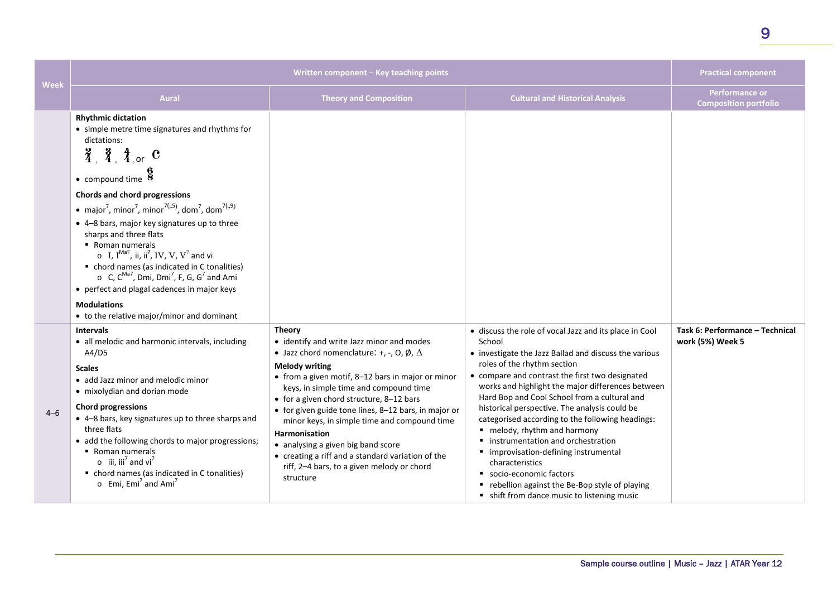|         | Written component - Key teaching points                                                                                                                                                                                                                                                                                                                                                                                                                                                                                                                                                                                                                                                                                                                                                                            |                                                                                                                                                                                                                                                                                                                                                                                                                                                                                                                                                                  | <b>Practical component</b>                                                                                                                                                                                                                                                                                                                                                                                                                                                                                                                                                                                                                                                           |                                                       |
|---------|--------------------------------------------------------------------------------------------------------------------------------------------------------------------------------------------------------------------------------------------------------------------------------------------------------------------------------------------------------------------------------------------------------------------------------------------------------------------------------------------------------------------------------------------------------------------------------------------------------------------------------------------------------------------------------------------------------------------------------------------------------------------------------------------------------------------|------------------------------------------------------------------------------------------------------------------------------------------------------------------------------------------------------------------------------------------------------------------------------------------------------------------------------------------------------------------------------------------------------------------------------------------------------------------------------------------------------------------------------------------------------------------|--------------------------------------------------------------------------------------------------------------------------------------------------------------------------------------------------------------------------------------------------------------------------------------------------------------------------------------------------------------------------------------------------------------------------------------------------------------------------------------------------------------------------------------------------------------------------------------------------------------------------------------------------------------------------------------|-------------------------------------------------------|
| Week    | <b>Aural</b>                                                                                                                                                                                                                                                                                                                                                                                                                                                                                                                                                                                                                                                                                                                                                                                                       | <b>Theory and Composition</b>                                                                                                                                                                                                                                                                                                                                                                                                                                                                                                                                    | <b>Cultural and Historical Analysis</b>                                                                                                                                                                                                                                                                                                                                                                                                                                                                                                                                                                                                                                              | <b>Performance or</b><br><b>Composition portfolio</b> |
|         | <b>Rhythmic dictation</b><br>• simple metre time signatures and rhythms for<br>dictations:<br>$\frac{2}{4}$ , $\frac{3}{4}$ , $\frac{4}{4}$ , or C<br>$\bullet$ compound time $\overline{8}$<br>Chords and chord progressions<br>• major <sup>7</sup> , minor <sup>7</sup> , minor <sup>7(<math>b</math>5)</sup> , dom <sup>7</sup> , dom <sup>7(<math>b</math>9)</sup><br>• 4-8 bars, major key signatures up to three<br>sharps and three flats<br>• Roman numerals<br>$\circ$ I, I <sup>Ma7</sup> , ii, ii <sup>7</sup> , IV, V, V <sup>7</sup> and vi<br>• chord names (as indicated in C tonalities)<br>$\circ$ C, C <sup>Ma7</sup> , Dmi, Dmi <sup>7</sup> , F, G, G <sup>7</sup> and Ami<br>• perfect and plagal cadences in major keys<br><b>Modulations</b><br>• to the relative major/minor and dominant |                                                                                                                                                                                                                                                                                                                                                                                                                                                                                                                                                                  |                                                                                                                                                                                                                                                                                                                                                                                                                                                                                                                                                                                                                                                                                      |                                                       |
| $4 - 6$ | <b>Intervals</b><br>• all melodic and harmonic intervals, including<br>A4/D5<br><b>Scales</b><br>• add Jazz minor and melodic minor<br>• mixolydian and dorian mode<br><b>Chord progressions</b><br>• 4-8 bars, key signatures up to three sharps and<br>three flats<br>• add the following chords to major progressions;<br>• Roman numerals<br>$\circ$ iii, iii <sup>7</sup> and vi <sup>7</sup><br>• chord names (as indicated in C tonalities)<br>$\circ$ Emi, Emi <sup>7</sup> and Ami <sup>7</sup>                                                                                                                                                                                                                                                                                                           | <b>Theory</b><br>• identify and write Jazz minor and modes<br>• Jazz chord nomenclature: +, -, O, Ø, $\Delta$<br><b>Melody writing</b><br>• from a given motif, 8-12 bars in major or minor<br>keys, in simple time and compound time<br>• for a given chord structure, 8-12 bars<br>• for given guide tone lines, 8-12 bars, in major or<br>minor keys, in simple time and compound time<br>Harmonisation<br>• analysing a given big band score<br>• creating a riff and a standard variation of the<br>riff, 2-4 bars, to a given melody or chord<br>structure | • discuss the role of vocal Jazz and its place in Cool<br>School<br>• investigate the Jazz Ballad and discuss the various<br>roles of the rhythm section<br>• compare and contrast the first two designated<br>works and highlight the major differences between<br>Hard Bop and Cool School from a cultural and<br>historical perspective. The analysis could be<br>categorised according to the following headings:<br>■ melody, rhythm and harmony<br>• instrumentation and orchestration<br>· improvisation-defining instrumental<br>characteristics<br>socio-economic factors<br>" rebellion against the Be-Bop style of playing<br>• shift from dance music to listening music | Task 6: Performance - Technical<br>work (5%) Week 5   |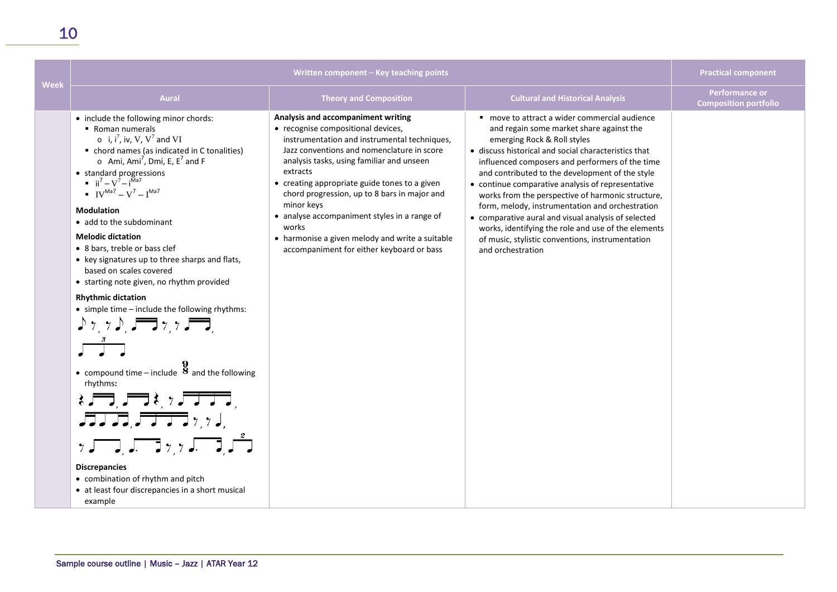| <b>Week</b> | Written component - Key teaching points                                                                                                                                                                                                                                                                                                                                                                                                                                                                                                                                                                                                                                                                                                                                                                                                                                                                                                                                                                                                  |                                                                                                                                                                                                                                                                                                                                                                                                                                                                                                         | <b>Practical component</b>                                                                                                                                                                                                                                                                                                                                                                                                                                                                                                                                                                                                                 |                                                       |
|-------------|------------------------------------------------------------------------------------------------------------------------------------------------------------------------------------------------------------------------------------------------------------------------------------------------------------------------------------------------------------------------------------------------------------------------------------------------------------------------------------------------------------------------------------------------------------------------------------------------------------------------------------------------------------------------------------------------------------------------------------------------------------------------------------------------------------------------------------------------------------------------------------------------------------------------------------------------------------------------------------------------------------------------------------------|---------------------------------------------------------------------------------------------------------------------------------------------------------------------------------------------------------------------------------------------------------------------------------------------------------------------------------------------------------------------------------------------------------------------------------------------------------------------------------------------------------|--------------------------------------------------------------------------------------------------------------------------------------------------------------------------------------------------------------------------------------------------------------------------------------------------------------------------------------------------------------------------------------------------------------------------------------------------------------------------------------------------------------------------------------------------------------------------------------------------------------------------------------------|-------------------------------------------------------|
|             | <b>Aural</b>                                                                                                                                                                                                                                                                                                                                                                                                                                                                                                                                                                                                                                                                                                                                                                                                                                                                                                                                                                                                                             | <b>Theory and Composition</b>                                                                                                                                                                                                                                                                                                                                                                                                                                                                           | <b>Cultural and Historical Analysis</b>                                                                                                                                                                                                                                                                                                                                                                                                                                                                                                                                                                                                    | <b>Performance or</b><br><b>Composition portfolio</b> |
|             | • include the following minor chords:<br>• Roman numerals<br>$\circ$ i, i <sup>7</sup> , iv, V, V <sup>7</sup> and VI<br>• chord names (as indicated in C tonalities)<br>$\circ$ Ami, Ami <sup>7</sup> , Dmi, E, E <sup>7</sup> and F<br>• standard progressions<br>$\mathbf{ii}^7 - V^7 - i^{Ma7}$<br>$IV^{Ma7} - V^7 - I^{Ma7}$<br><b>Modulation</b><br>• add to the subdominant<br><b>Melodic dictation</b><br>• 8 bars, treble or bass clef<br>• key signatures up to three sharps and flats,<br>based on scales covered<br>• starting note given, no rhythm provided<br><b>Rhythmic dictation</b><br>• simple time - include the following rhythms:<br>• compound time – include $\frac{9}{8}$ and the following<br>rhythms:<br>$\qquad \qquad \pm \sqrt{1.5} \pm \sqrt{1.5 \pm 0.5}$<br>$JJJJJ$ , $JJJJ$ , $\gamma$ , $J$ ,<br>$\gamma$ , $\sqrt{2}$ , $\sqrt{2}$ , $\gamma$ , $\sqrt{2}$ , $\sqrt{2}$<br><b>Discrepancies</b><br>• combination of rhythm and pitch<br>• at least four discrepancies in a short musical<br>example | Analysis and accompaniment writing<br>• recognise compositional devices,<br>instrumentation and instrumental techniques,<br>Jazz conventions and nomenclature in score<br>analysis tasks, using familiar and unseen<br>extracts<br>• creating appropriate guide tones to a given<br>chord progression, up to 8 bars in major and<br>minor keys<br>• analyse accompaniment styles in a range of<br>works<br>• harmonise a given melody and write a suitable<br>accompaniment for either keyboard or bass | " move to attract a wider commercial audience<br>and regain some market share against the<br>emerging Rock & Roll styles<br>• discuss historical and social characteristics that<br>influenced composers and performers of the time<br>and contributed to the development of the style<br>• continue comparative analysis of representative<br>works from the perspective of harmonic structure,<br>form, melody, instrumentation and orchestration<br>• comparative aural and visual analysis of selected<br>works, identifying the role and use of the elements<br>of music, stylistic conventions, instrumentation<br>and orchestration |                                                       |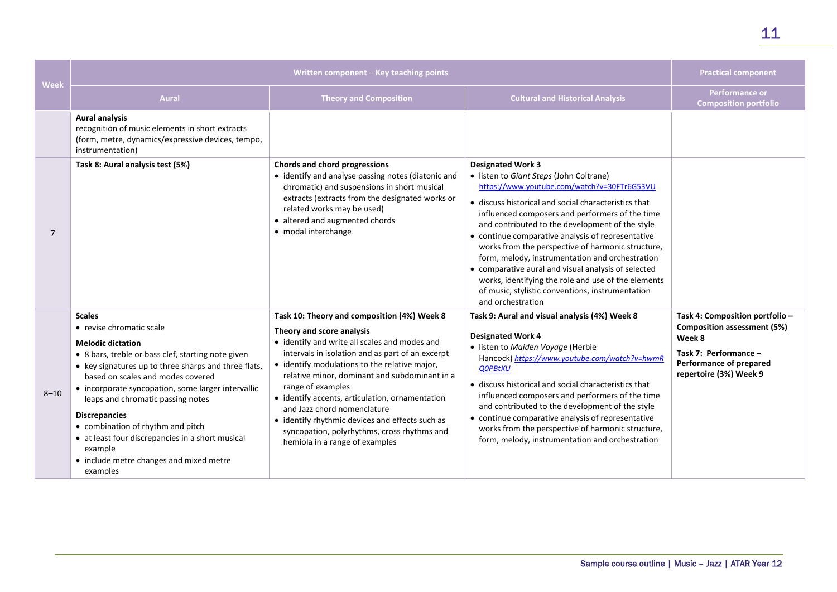|                | Written component - Key teaching points                                                                                                                                                                                                                                                                                                                                                                                                                                                                |                                                                                                                                                                                                                                                                                                                                                                                                                                                                                                                            | <b>Practical component</b>                                                                                                                                                                                                                                                                                                                                                                                                                                                                                                                                                                                                           |                                                                                                                                                               |
|----------------|--------------------------------------------------------------------------------------------------------------------------------------------------------------------------------------------------------------------------------------------------------------------------------------------------------------------------------------------------------------------------------------------------------------------------------------------------------------------------------------------------------|----------------------------------------------------------------------------------------------------------------------------------------------------------------------------------------------------------------------------------------------------------------------------------------------------------------------------------------------------------------------------------------------------------------------------------------------------------------------------------------------------------------------------|--------------------------------------------------------------------------------------------------------------------------------------------------------------------------------------------------------------------------------------------------------------------------------------------------------------------------------------------------------------------------------------------------------------------------------------------------------------------------------------------------------------------------------------------------------------------------------------------------------------------------------------|---------------------------------------------------------------------------------------------------------------------------------------------------------------|
| <b>Week</b>    | <b>Aural</b>                                                                                                                                                                                                                                                                                                                                                                                                                                                                                           | <b>Theory and Composition</b>                                                                                                                                                                                                                                                                                                                                                                                                                                                                                              | <b>Cultural and Historical Analysis</b>                                                                                                                                                                                                                                                                                                                                                                                                                                                                                                                                                                                              | <b>Performance or</b><br><b>Composition portfolio</b>                                                                                                         |
|                | <b>Aural analysis</b><br>recognition of music elements in short extracts<br>(form, metre, dynamics/expressive devices, tempo,<br>instrumentation)                                                                                                                                                                                                                                                                                                                                                      |                                                                                                                                                                                                                                                                                                                                                                                                                                                                                                                            |                                                                                                                                                                                                                                                                                                                                                                                                                                                                                                                                                                                                                                      |                                                                                                                                                               |
| $\overline{7}$ | Task 8: Aural analysis test (5%)                                                                                                                                                                                                                                                                                                                                                                                                                                                                       | Chords and chord progressions<br>• identify and analyse passing notes (diatonic and<br>chromatic) and suspensions in short musical<br>extracts (extracts from the designated works or<br>related works may be used)<br>• altered and augmented chords<br>· modal interchange                                                                                                                                                                                                                                               | <b>Designated Work 3</b><br>• listen to Giant Steps (John Coltrane)<br>https://www.youtube.com/watch?v=30FTr6G53VU<br>• discuss historical and social characteristics that<br>influenced composers and performers of the time<br>and contributed to the development of the style<br>• continue comparative analysis of representative<br>works from the perspective of harmonic structure,<br>form, melody, instrumentation and orchestration<br>• comparative aural and visual analysis of selected<br>works, identifying the role and use of the elements<br>of music, stylistic conventions, instrumentation<br>and orchestration |                                                                                                                                                               |
| $8 - 10$       | <b>Scales</b><br>• revise chromatic scale<br><b>Melodic dictation</b><br>• 8 bars, treble or bass clef, starting note given<br>• key signatures up to three sharps and three flats,<br>based on scales and modes covered<br>• incorporate syncopation, some larger intervallic<br>leaps and chromatic passing notes<br><b>Discrepancies</b><br>• combination of rhythm and pitch<br>• at least four discrepancies in a short musical<br>example<br>• include metre changes and mixed metre<br>examples | Task 10: Theory and composition (4%) Week 8<br>Theory and score analysis<br>• identify and write all scales and modes and<br>intervals in isolation and as part of an excerpt<br>• identify modulations to the relative major,<br>relative minor, dominant and subdominant in a<br>range of examples<br>• identify accents, articulation, ornamentation<br>and Jazz chord nomenclature<br>• identify rhythmic devices and effects such as<br>syncopation, polyrhythms, cross rhythms and<br>hemiola in a range of examples | Task 9: Aural and visual analysis (4%) Week 8<br><b>Designated Work 4</b><br>· listen to Maiden Voyage (Herbie<br>Hancock) https://www.youtube.com/watch?v=hwmR<br><b>QOPBtXU</b><br>• discuss historical and social characteristics that<br>influenced composers and performers of the time<br>and contributed to the development of the style<br>• continue comparative analysis of representative<br>works from the perspective of harmonic structure,<br>form, melody, instrumentation and orchestration                                                                                                                         | Task 4: Composition portfolio -<br><b>Composition assessment (5%)</b><br>Week 8<br>Task 7: Performance -<br>Performance of prepared<br>repertoire (3%) Week 9 |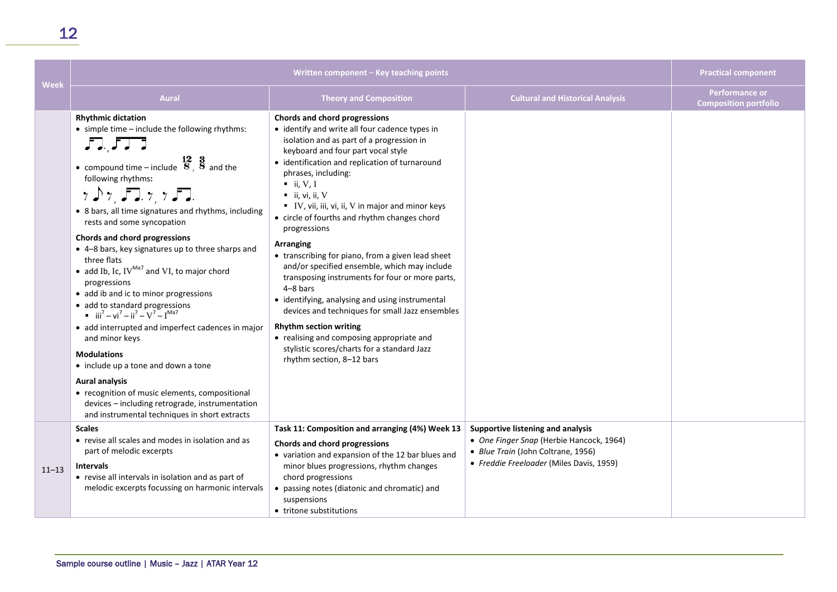| <b>Week</b> | Written component - Key teaching points                                                                                                                                                                                                                                                                                                                                                                                                                                                                                                                                                                                                                                                                                                                                                                                                                                                                                                                                                                                                           |                                                                                                                                                                                                                                                                                                                                                                                                                                                                                                                                                                                                                                                                                                                                                                                                                                                                                         |                                                                                                                                                                 | <b>Practical component</b>                            |
|-------------|---------------------------------------------------------------------------------------------------------------------------------------------------------------------------------------------------------------------------------------------------------------------------------------------------------------------------------------------------------------------------------------------------------------------------------------------------------------------------------------------------------------------------------------------------------------------------------------------------------------------------------------------------------------------------------------------------------------------------------------------------------------------------------------------------------------------------------------------------------------------------------------------------------------------------------------------------------------------------------------------------------------------------------------------------|-----------------------------------------------------------------------------------------------------------------------------------------------------------------------------------------------------------------------------------------------------------------------------------------------------------------------------------------------------------------------------------------------------------------------------------------------------------------------------------------------------------------------------------------------------------------------------------------------------------------------------------------------------------------------------------------------------------------------------------------------------------------------------------------------------------------------------------------------------------------------------------------|-----------------------------------------------------------------------------------------------------------------------------------------------------------------|-------------------------------------------------------|
|             | <b>Aural</b>                                                                                                                                                                                                                                                                                                                                                                                                                                                                                                                                                                                                                                                                                                                                                                                                                                                                                                                                                                                                                                      | <b>Theory and Composition</b>                                                                                                                                                                                                                                                                                                                                                                                                                                                                                                                                                                                                                                                                                                                                                                                                                                                           | <b>Cultural and Historical Analysis</b>                                                                                                                         | <b>Performance or</b><br><b>Composition portfolio</b> |
|             | <b>Rhythmic dictation</b><br>• simple time - include the following rhythms:<br>JJ, JJ<br>• compound time – include $\begin{array}{c} 12 & 3 \\ 8 & 8 \end{array}$ and the<br>following rhythms:<br>$\gamma \triangleright \gamma$ , $\Box$ , $\gamma$ , $\gamma \square$ .<br>• 8 bars, all time signatures and rhythms, including<br>rests and some syncopation<br>Chords and chord progressions<br>• 4-8 bars, key signatures up to three sharps and<br>three flats<br>• add Ib, Ic, $IV^{Ma7}$ and VI, to major chord<br>progressions<br>• add ib and ic to minor progressions<br>• add to standard progressions<br>$\blacksquare$ iii <sup>7</sup> – vi <sup>7</sup> – ii <sup>7</sup> – V <sup>7</sup> – I <sup>Ma7</sup><br>• add interrupted and imperfect cadences in major<br>and minor keys<br><b>Modulations</b><br>• include up a tone and down a tone<br><b>Aural analysis</b><br>• recognition of music elements, compositional<br>devices - including retrograde, instrumentation<br>and instrumental techniques in short extracts | Chords and chord progressions<br>• identify and write all four cadence types in<br>isolation and as part of a progression in<br>keyboard and four part vocal style<br>• identification and replication of turnaround<br>phrases, including:<br>$\blacksquare$ ii, V, I<br>$\blacksquare$ ii, vi, ii, V<br>■ IV, vii, iii, vi, ii, V in major and minor keys<br>• circle of fourths and rhythm changes chord<br>progressions<br><b>Arranging</b><br>• transcribing for piano, from a given lead sheet<br>and/or specified ensemble, which may include<br>transposing instruments for four or more parts,<br>$4 - 8$ bars<br>• identifying, analysing and using instrumental<br>devices and techniques for small Jazz ensembles<br><b>Rhythm section writing</b><br>• realising and composing appropriate and<br>stylistic scores/charts for a standard Jazz<br>rhythm section, 8-12 bars |                                                                                                                                                                 |                                                       |
| $11 - 13$   | <b>Scales</b><br>• revise all scales and modes in isolation and as<br>part of melodic excerpts<br><b>Intervals</b><br>• revise all intervals in isolation and as part of<br>melodic excerpts focussing on harmonic intervals                                                                                                                                                                                                                                                                                                                                                                                                                                                                                                                                                                                                                                                                                                                                                                                                                      | Task 11: Composition and arranging (4%) Week 13<br>Chords and chord progressions<br>• variation and expansion of the 12 bar blues and<br>minor blues progressions, rhythm changes<br>chord progressions<br>• passing notes (diatonic and chromatic) and<br>suspensions<br>• tritone substitutions                                                                                                                                                                                                                                                                                                                                                                                                                                                                                                                                                                                       | Supportive listening and analysis<br>• One Finger Snap (Herbie Hancock, 1964)<br>• Blue Train (John Coltrane, 1956)<br>• Freddie Freeloader (Miles Davis, 1959) |                                                       |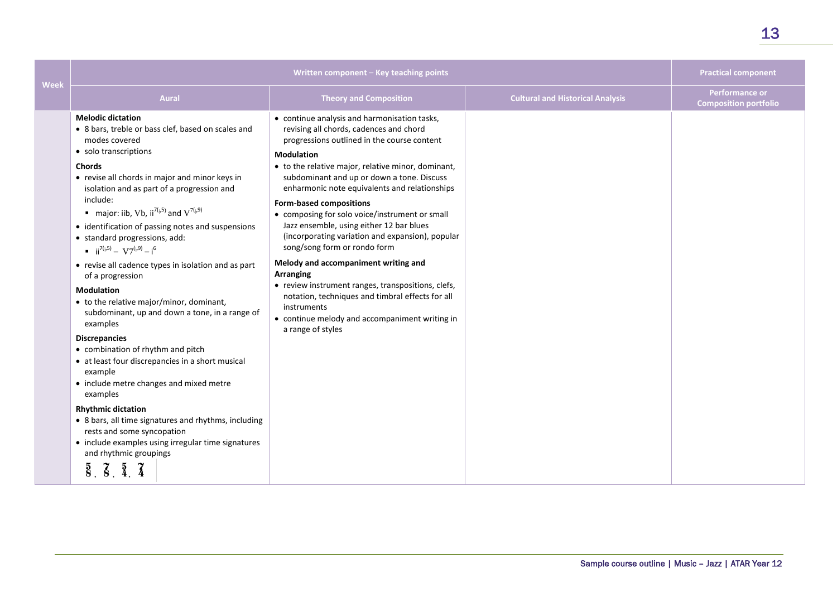| <b>Week</b> | Written component - Key teaching points                                                                                                                                                                                                                                                                                                                                                                                                                                                                                                                                                                                                                                                                                                                                                                                                                                                                                                                                                                                                                                                                                                                                    |                                                                                                                                                                                                                                                                                                                                                                                                                                                                                                                                                                                                                                                                                                                                                                                                  |                                         | <b>Practical component</b>                            |
|-------------|----------------------------------------------------------------------------------------------------------------------------------------------------------------------------------------------------------------------------------------------------------------------------------------------------------------------------------------------------------------------------------------------------------------------------------------------------------------------------------------------------------------------------------------------------------------------------------------------------------------------------------------------------------------------------------------------------------------------------------------------------------------------------------------------------------------------------------------------------------------------------------------------------------------------------------------------------------------------------------------------------------------------------------------------------------------------------------------------------------------------------------------------------------------------------|--------------------------------------------------------------------------------------------------------------------------------------------------------------------------------------------------------------------------------------------------------------------------------------------------------------------------------------------------------------------------------------------------------------------------------------------------------------------------------------------------------------------------------------------------------------------------------------------------------------------------------------------------------------------------------------------------------------------------------------------------------------------------------------------------|-----------------------------------------|-------------------------------------------------------|
|             | <b>Aural</b>                                                                                                                                                                                                                                                                                                                                                                                                                                                                                                                                                                                                                                                                                                                                                                                                                                                                                                                                                                                                                                                                                                                                                               | <b>Theory and Composition</b>                                                                                                                                                                                                                                                                                                                                                                                                                                                                                                                                                                                                                                                                                                                                                                    | <b>Cultural and Historical Analysis</b> | <b>Performance or</b><br><b>Composition portfolio</b> |
|             | <b>Melodic dictation</b><br>• 8 bars, treble or bass clef, based on scales and<br>modes covered<br>• solo transcriptions<br><b>Chords</b><br>• revise all chords in major and minor keys in<br>isolation and as part of a progression and<br>include:<br><b>n</b> major: iib, Vb, ii <sup>7(<math>\beta</math>5) and V<sup>7(<math>\beta</math>9)</sup></sup><br>• identification of passing notes and suspensions<br>• standard progressions, add:<br>$\mathbf{u} = i i^{7(b+5)} - V7^{(b+9)} - i^6$<br>• revise all cadence types in isolation and as part<br>of a progression<br><b>Modulation</b><br>• to the relative major/minor, dominant,<br>subdominant, up and down a tone, in a range of<br>examples<br><b>Discrepancies</b><br>• combination of rhythm and pitch<br>• at least four discrepancies in a short musical<br>example<br>• include metre changes and mixed metre<br>examples<br><b>Rhythmic dictation</b><br>• 8 bars, all time signatures and rhythms, including<br>rests and some syncopation<br>• include examples using irregular time signatures<br>and rhythmic groupings<br>$\overline{8}$ , $\overline{8}$ , $\overline{4}$ , $\overline{4}$ | • continue analysis and harmonisation tasks,<br>revising all chords, cadences and chord<br>progressions outlined in the course content<br><b>Modulation</b><br>• to the relative major, relative minor, dominant,<br>subdominant and up or down a tone. Discuss<br>enharmonic note equivalents and relationships<br><b>Form-based compositions</b><br>• composing for solo voice/instrument or small<br>Jazz ensemble, using either 12 bar blues<br>(incorporating variation and expansion), popular<br>song/song form or rondo form<br>Melody and accompaniment writing and<br><b>Arranging</b><br>• review instrument ranges, transpositions, clefs,<br>notation, techniques and timbral effects for all<br>instruments<br>• continue melody and accompaniment writing in<br>a range of styles |                                         |                                                       |